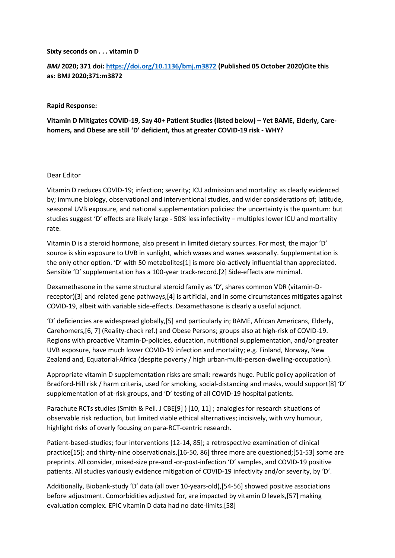## **Sixty seconds on . . . vitamin D**

*BMJ* **2020; 371 doi: <https://doi.org/10.1136/bmj.m3872> (Published 05 October 2020)Cite this as: BMJ 2020;371:m3872**

## **Rapid Response:**

**Vitamin D Mitigates COVID-19, Say 40+ Patient Studies (listed below) – Yet BAME, Elderly, Carehomers, and Obese are still 'D' deficient, thus at greater COVID-19 risk - WHY?**

## Dear Editor

Vitamin D reduces COVID-19; infection; severity; ICU admission and mortality: as clearly evidenced by; immune biology, observational and interventional studies, and wider considerations of; latitude, seasonal UVB exposure, and national supplementation policies: the uncertainty is the quantum: but studies suggest 'D' effects are likely large - 50% less infectivity – multiples lower ICU and mortality rate.

Vitamin D is a steroid hormone, also present in limited dietary sources. For most, the major 'D' source is skin exposure to UVB in sunlight, which waxes and wanes seasonally. Supplementation is the only other option. 'D' with 50 metabolites[1] is more bio-actively influential than appreciated. Sensible 'D' supplementation has a 100-year track-record.[2] Side-effects are minimal.

Dexamethasone in the same structural steroid family as 'D', shares common VDR (vitamin-Dreceptor)[3] and related gene pathways,[4] is artificial, and in some circumstances mitigates against COVID-19, albeit with variable side-effects. Dexamethasone is clearly a useful adjunct.

'D' deficiencies are widespread globally,[5] and particularly in; BAME, African Americans, Elderly, Carehomers,[6, 7] (Reality-check ref.) and Obese Persons; groups also at high-risk of COVID-19. Regions with proactive Vitamin-D-policies, education, nutritional supplementation, and/or greater UVB exposure, have much lower COVID-19 infection and mortality; e.g. Finland, Norway, New Zealand and, Equatorial-Africa (despite poverty / high urban-multi-person-dwelling-occupation).

Appropriate vitamin D supplementation risks are small: rewards huge. Public policy application of Bradford-Hill risk / harm criteria, used for smoking, social-distancing and masks, would support[8] 'D' supplementation of at-risk groups, and 'D' testing of all COVID-19 hospital patients.

Parachute RCTs studies (Smith & Pell. J CBE[9] ) [10, 11] ; analogies for research situations of observable risk reduction, but limited viable ethical alternatives; incisively, with wry humour, highlight risks of overly focusing on para-RCT-centric research.

Patient-based-studies; four interventions [12-14, 85]; a retrospective examination of clinical practice[15]; and thirty-nine observationals,[16-50, 86] three more are questioned;[51-53] some are preprints. All consider, mixed-size pre-and -or-post-infection 'D' samples, and COVID-19 positive patients. All studies variously evidence mitigation of COVID-19 infectivity and/or severity, by 'D'.

Additionally, Biobank-study 'D' data (all over 10-years-old),[54-56] showed positive associations before adjustment. Comorbidities adjusted for, are impacted by vitamin D levels,[57] making evaluation complex. EPIC vitamin D data had no date-limits.[58]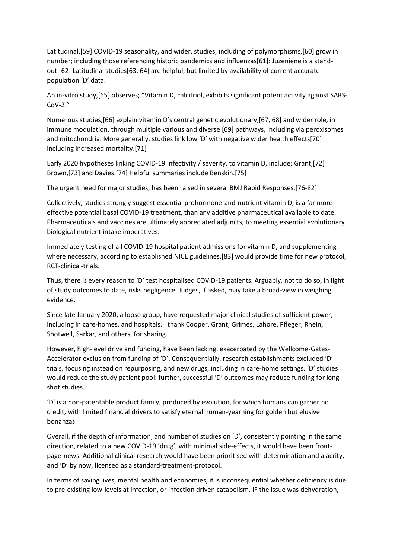Latitudinal,[59] COVID-19 seasonality, and wider, studies, including of polymorphisms,[60] grow in number; including those referencing historic pandemics and influenzas[61]: Juzeniene is a standout.[62] Latitudinal studies[63, 64] are helpful, but limited by availability of current accurate population 'D' data.

An in-vitro study,[65] observes; "Vitamin D, calcitriol, exhibits significant potent activity against SARS-CoV-2."

Numerous studies,[66] explain vitamin D's central genetic evolutionary,[67, 68] and wider role, in immune modulation, through multiple various and diverse [69] pathways, including via peroxisomes and mitochondria. More generally, studies link low 'D' with negative wider health effects[70] including increased mortality.[71]

Early 2020 hypotheses linking COVID-19 infectivity / severity, to vitamin D, include; Grant,[72] Brown,[73] and Davies.[74] Helpful summaries include Benskin.[75]

The urgent need for major studies, has been raised in several BMJ Rapid Responses.[76-82]

Collectively, studies strongly suggest essential prohormone-and-nutrient vitamin D, is a far more effective potential basal COVID-19 treatment, than any additive pharmaceutical available to date. Pharmaceuticals and vaccines are ultimately appreciated adjuncts, to meeting essential evolutionary biological nutrient intake imperatives.

Immediately testing of all COVID-19 hospital patient admissions for vitamin D, and supplementing where necessary, according to established NICE guidelines,[83] would provide time for new protocol, RCT-clinical-trials.

Thus, there is every reason to 'D' test hospitalised COVID-19 patients. Arguably, not to do so, in light of study outcomes to date, risks negligence. Judges, if asked, may take a broad-view in weighing evidence.

Since late January 2020, a loose group, have requested major clinical studies of sufficient power, including in care-homes, and hospitals. I thank Cooper, Grant, Grimes, Lahore, Pfleger, Rhein, Shotwell, Sarkar, and others, for sharing.

However, high-level drive and funding, have been lacking, exacerbated by the Wellcome-Gates-Accelerator exclusion from funding of 'D'. Consequentially, research establishments excluded 'D' trials, focusing instead on repurposing, and new drugs, including in care-home settings. 'D' studies would reduce the study patient pool: further, successful 'D' outcomes may reduce funding for longshot studies.

'D' is a non-patentable product family, produced by evolution, for which humans can garner no credit, with limited financial drivers to satisfy eternal human-yearning for golden but elusive bonanzas.

Overall, if the depth of information, and number of studies on 'D', consistently pointing in the same direction, related to a new COVID-19 'drug', with minimal side-effects, it would have been frontpage-news. Additional clinical research would have been prioritised with determination and alacrity, and 'D' by now, licensed as a standard-treatment-protocol.

In terms of saving lives, mental health and economies, it is inconsequential whether deficiency is due to pre-existing low-levels at infection, or infection driven catabolism. IF the issue was dehydration,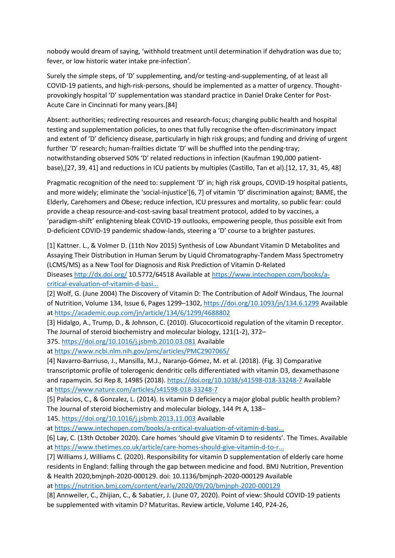nobody would dream of saying, 'withhold treatment until determination if dehydration was due to; fever, or low historic water intake pre-infection'.

Surely the simple steps, of 'D' supplementing, and/or testing-and-supplementing, of at least all COVID-19 patients, and high-risk-persons, should be implemented as a matter of urgency. Thoughtprovokingly hospital 'D' supplementation was standard practice in Daniel Drake Center for Post-Acute Care in Cincinnati for many years.[84]

Absent: authorities; redirecting resources and research-focus; changing public health and hospital testing and supplementation policies, to ones that fully recognise the often-discriminatory impact and extent of 'D' deficiency disease, particularly in high risk groups; and funding and driving of urgent further 'D' research; human-frailties dictate 'D' will be shuffled into the pending-tray; notwithstanding observed 50% 'D' related reductions in infection (Kaufman 190,000 patientbase),[27, 39, 41] and reductions in ICU patients by multiples (Castillo, Tan et al).[12, 17, 31, 45, 48]

Pragmatic recognition of the need to: supplement 'D' in; high risk groups, COVID-19 hospital patients, and more widely; eliminate the 'social-injustice'[6, 7] of vitamin 'D' discrimination against; BAME, the Elderly, Carehomers and Obese; reduce infection, ICU pressures and mortality, so public fear: could provide a cheap resource-and-cost-saving basal treatment protocol, added to by vaccines, a 'paradigm-shift' enlightening bleak COVID-19 outlooks, empowering people, thus possible exit from D-deficient COVID-19 pandemic shadow-lands, steering a 'D' course to a brighter pastures.

[1] Kattner. L., & Volmer D. (11th Nov 2015) Synthesis of Low Abundant Vitamin D Metabolites and Assaying Their Distribution in Human Serum by Liquid Chromatography-Tandem Mass Spectrometry (LCMS/MS) as a New Tool for Diagnosis and Risk Prediction of Vitamin D-Related Diseases <http://dx.doi.org/> 10.5772/64518 Available at [https://www.intechopen.com/books/a-](https://www.intechopen.com/books/a-critical-evaluation-of-vitamin-d-basic-overview/synthesis-of-low-abundant-vitamin-d-metabolites-and-assaying-their-distribution-in-human-serum-by-li)

[2] Wolf, G. (June 2004) The Discovery of Vitamin D: The Contribution of Adolf Windaus, The Journal of Nutrition, Volume 134, Issue 6, Pages 1299–1302, <https://doi.org/10.1093/jn/134.6.1299> Available at <https://academic.oup.com/jn/article/134/6/1299/4688802>

[3] Hidalgo, A., Trump, D., & Johnson, C. (2010). Glucocorticoid regulation of the vitamin D receptor. The Journal of steroid biochemistry and molecular biology, 121(1-2), 372–

375. <https://doi.org/10.1016/j.jsbmb.2010.03.081> Available

[critical-evaluation-of-vitamin-d-basi...](https://www.intechopen.com/books/a-critical-evaluation-of-vitamin-d-basic-overview/synthesis-of-low-abundant-vitamin-d-metabolites-and-assaying-their-distribution-in-human-serum-by-li)

at <https://www.ncbi.nlm.nih.gov/pmc/articles/PMC2907065/>

[4] Navarro-Barriuso, J., Mansilla, M.J., Naranjo-Gómez, M. et al. (2018). (Fig. 3) Comparative transcriptomic profile of tolerogenic dendritic cells differentiated with vitamin D3, dexamethasone and rapamycin. Sci Rep 8, 14985 (2018). <https://doi.org/10.1038/s41598-018-33248-7> Available at <https://www.nature.com/articles/s41598-018-33248-7>

[5] Palacios, C., & Gonzalez, L. (2014). Is vitamin D deficiency a major global public health problem? The Journal of steroid biochemistry and molecular biology, 144 Pt A, 138–

145. <https://doi.org/10.1016/j.jsbmb.2013.11.003> Available

at [https://www.intechopen.com/books/a-critical-evaluation-of-vitamin-d-basi...](https://www.intechopen.com/books/a-critical-evaluation-of-vitamin-d-basic-overview/synthesis-of-low-abundant-vitamin-d-metabolites-and-assaying-their-distribution-in-human-serum-by-lihttps:/www.ncbi.nlm.nih.gov/pmc/articles/PMC4018438/)

[6] Lay, C. (13th October 2020). Care homes 'should give Vitamin D to residents'. The Times. Available at [https://www.thetimes.co.uk/article/care-homes-should-give-vitamin-d-to-r...](https://www.thetimes.co.uk/article/care-homes-should-give-vitamin-d-to-residents-ghwj6llg6)

[7] Williams J, Williams C. (2020). Responsibility for vitamin D supplementation of elderly care home residents in England: falling through the gap between medicine and food. BMJ Nutrition, Prevention & Health 2020;bmjnph-2020-000129. doi: 10.1136/bmjnph-2020-000129 Available at <https://nutrition.bmj.com/content/early/2020/09/20/bmjnph-2020-000129>

[8] Annweiler, C., Zhijian, C., & Sabatier, J. (June 07, 2020). Point of view: Should COVID-19 patients be supplemented with vitamin D? Maturitas. Review article, Volume 140, P24-26,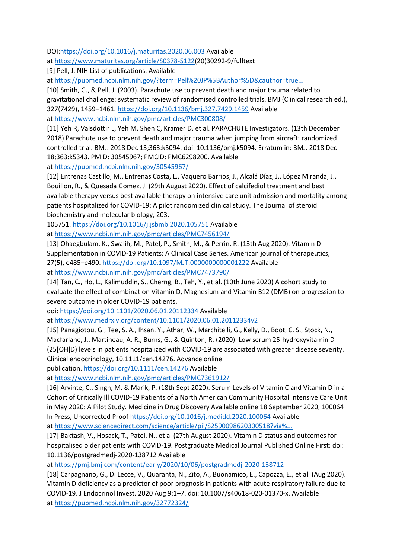DOI[:https://doi.org/10.1016/j.maturitas.2020.06.003](https://doi.org/10.1016/j.maturitas.2020.06.003) Available

at [https://www.maturitas.org/article/S0378-5122\(](https://www.maturitas.org/article/S0378-5122)20)30292-9/fulltext

[9] Pell, J. NIH List of publications. Available

at [https://pubmed.ncbi.nlm.nih.gov/?term=Pell%20JP%5BAuthor%5D&cauthor=true...](https://pubmed.ncbi.nlm.nih.gov/?term=Pell%20JP%5BAuthor%5D&cauthor=true&cauthor_uid=14684649)

[10] Smith, G., & Pell, J. (2003). Parachute use to prevent death and major trauma related to gravitational challenge: systematic review of randomised controlled trials. BMJ (Clinical research ed.), 327(7429), 1459–1461. <https://doi.org/10.1136/bmj.327.7429.1459> Available at <https://www.ncbi.nlm.nih.gov/pmc/articles/PMC300808/>

[11] Yeh R, Valsdottir L, Yeh M, Shen C, Kramer D, et al. PARACHUTE Investigators. (13th December 2018) Parachute use to prevent death and major trauma when jumping from aircraft: randomized controlled trial. BMJ. 2018 Dec 13;363:k5094. doi: 10.1136/bmj.k5094. Erratum in: BMJ. 2018 Dec 18;363:k5343. PMID: 30545967; PMCID: PMC6298200. Available

at <https://pubmed.ncbi.nlm.nih.gov/30545967/>

[12] Entrenas Castillo, M., Entrenas Costa, L., Vaquero Barrios, J., Alcalá Díaz, J., López Miranda, J., Bouillon, R., & Quesada Gomez, J. (29th August 2020). Effect of calcifediol treatment and best available therapy versus best available therapy on intensive care unit admission and mortality among patients hospitalized for COVID-19: A pilot randomized clinical study. The Journal of steroid biochemistry and molecular biology, 203,

105751. <https://doi.org/10.1016/j.jsbmb.2020.105751> Available

at <https://www.ncbi.nlm.nih.gov/pmc/articles/PMC7456194/>

[13] Ohaegbulam, K., Swalih, M., Patel, P., Smith, M., & Perrin, R. (13th Aug 2020). Vitamin D Supplementation in COVID-19 Patients: A Clinical Case Series. American journal of therapeutics, 27(5), e485–e490. <https://doi.org/10.1097/MJT.0000000000001222> Available

at <https://www.ncbi.nlm.nih.gov/pmc/articles/PMC7473790/>

[14] Tan, C., Ho, L., Kalimuddin, S., Cherng, B., Teh, Y., et.al. (10th June 2020) A cohort study to evaluate the effect of combination Vitamin D, Magnesium and Vitamin B12 (DMB) on progression to severe outcome in older COVID-19 patients.

doi: <https://doi.org/10.1101/2020.06.01.20112334> Available

at <https://www.medrxiv.org/content/10.1101/2020.06.01.20112334v2>

[15] Panagiotou, G., Tee, S. A., Ihsan, Y., Athar, W., Marchitelli, G., Kelly, D., Boot, C. S., Stock, N., Macfarlane, J., Martineau, A. R., Burns, G., & Quinton, R. (2020). Low serum 25-hydroxyvitamin D (25[OH]D) levels in patients hospitalized with COVID-19 are associated with greater disease severity. Clinical endocrinology, 10.1111/cen.14276. Advance online

publication. <https://doi.org/10.1111/cen.14276> Available

at <https://www.ncbi.nlm.nih.gov/pmc/articles/PMC7361912/>

[16] Arvinte, C., Singh, M. & Marik, P. (18th Sept 2020). Serum Levels of Vitamin C and Vitamin D in a Cohort of Critically Ill COVID-19 Patients of a North American Community Hospital Intensive Care Unit in May 2020: A Pilot Study. Medicine in Drug Discovery Available online 18 September 2020, 100064 In Press, Uncorrected Proof <https://doi.org/10.1016/j.medidd.2020.100064> Available at [https://www.sciencedirect.com/science/article/pii/S2590098620300518?via%...](https://www.sciencedirect.com/science/article/pii/S2590098620300518?via%3Dihub)

[17] Baktash, V., Hosack, T., Patel, N., et al (27th August 2020). Vitamin D status and outcomes for hospitalised older patients with COVID-19. Postgraduate Medical Journal Published Online First: doi:

10.1136/postgradmedj-2020-138712 Available

at <https://pmj.bmj.com/content/early/2020/10/06/postgradmedj-2020-138712>

[18] Carpagnano, G., Di Lecce, V., Quaranta, N., Zito, A., Buonamico, E., Capozza, E., et al. (Aug 2020). Vitamin D deficiency as a predictor of poor prognosis in patients with acute respiratory failure due to COVID-19. J Endocrinol Invest. 2020 Aug 9:1–7. doi: 10.1007/s40618-020-01370-x. Available at <https://pubmed.ncbi.nlm.nih.gov/32772324/>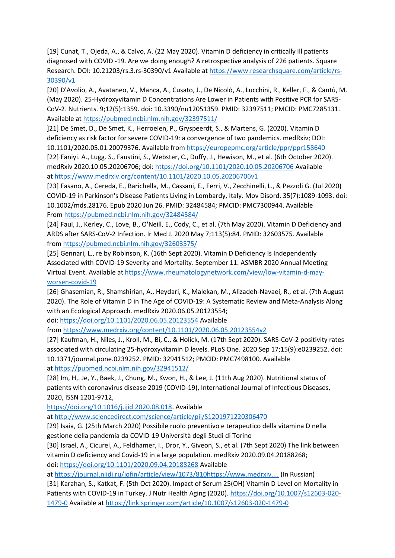[19] Cunat, T., Ojeda, A., & Calvo, A. (22 May 2020). Vitamin D deficiency in critically ill patients diagnosed with COVID -19. Are we doing enough? A retrospective analysis of 226 patients. Square Research. DOI: 10.21203/rs.3.rs-30390/v1 Available at [https://www.researchsquare.com/article/rs-](https://www.researchsquare.com/article/rs-30390/v1)[30390/v1](https://www.researchsquare.com/article/rs-30390/v1)

[20] D'Avolio, A., Avataneo, V., Manca, A., Cusato, J., De Nicolò, A., Lucchini, R., Keller, F., & Cantù, M. (May 2020). 25-Hydroxyvitamin D Concentrations Are Lower in Patients with Positive PCR for SARS-CoV-2. Nutrients. 9;12(5):1359. doi: 10.3390/nu12051359. PMID: 32397511; PMCID: PMC7285131. Available at <https://pubmed.ncbi.nlm.nih.gov/32397511/>

]21] De Smet, D., De Smet, K., Herroelen, P., Gryspeerdt, S., & Martens, G. (2020). Vitamin D deficiency as risk factor for severe COVID-19: a convergence of two pandemics. medRxiv; DOI: 10.1101/2020.05.01.20079376. Available from <https://europepmc.org/article/ppr/ppr158640>

[22] Faniyi. A., Lugg. S., Faustini, S., Webster, C., Duffy, J., Hewison, M., et al. (6th October 2020). medRxiv 2020.10.05.20206706; doi: <https://doi.org/10.1101/2020.10.05.20206706> Available at <https://www.medrxiv.org/content/10.1101/2020.10.05.20206706v1>

[23] Fasano, A., Cereda, E., Barichella, M., Cassani, E., Ferri, V., Zecchinelli, L., & Pezzoli G. (Jul 2020) COVID-19 in Parkinson's Disease Patients Living in Lombardy, Italy. Mov Disord. 35(7):1089-1093. doi: 10.1002/mds.28176. Epub 2020 Jun 26. PMID: 32484584; PMCID: PMC7300944. Available From <https://pubmed.ncbi.nlm.nih.gov/32484584/>

[24] Faul, J., Kerley, C., Love, B., O'Neill, E., Cody, C., et al. (7th May 2020). Vitamin D Deficiency and ARDS after SARS-CoV-2 Infection. Ir Med J. 2020 May 7;113(5):84. PMID: 32603575. Available from <https://pubmed.ncbi.nlm.nih.gov/32603575/>

[25] Gennari, L., re by Robinson, K. (16th Sept 2020). Vitamin D Deficiency Is Independently Associated with COVID-19 Severity and Mortality. September 11. ASMBR 2020 Annual Meeting Virtual Event. Available at [https://www.rheumatologynetwork.com/view/low-vitamin-d-may](https://www.rheumatologynetwork.com/view/low-vitamin-d-may-worsen-covid-19)[worsen-covid-19](https://www.rheumatologynetwork.com/view/low-vitamin-d-may-worsen-covid-19)

[26] Ghasemian, R., Shamshirian, A., Heydari, K., Malekan, M., Alizadeh-Navaei, R., et al. (7th August 2020). The Role of Vitamin D in The Age of COVID-19: A Systematic Review and Meta-Analysis Along with an Ecological Approach. medRxiv 2020.06.05.20123554;

doi: <https://doi.org/10.1101/2020.06.05.20123554> Available

from <https://www.medrxiv.org/content/10.1101/2020.06.05.20123554v2>

[27] Kaufman, H., Niles, J., Kroll, M., Bi, C., & Holick, M. (17th Sept 2020). SARS-CoV-2 positivity rates associated with circulating 25-hydroxyvitamin D levels. PLoS One. 2020 Sep 17;15(9):e0239252. doi: 10.1371/journal.pone.0239252. PMID: 32941512; PMCID: PMC7498100. Available at <https://pubmed.ncbi.nlm.nih.gov/32941512/>

[28] Im, H,. Je, Y., Baek, J., Chung, M., Kwon, H., & Lee, J. (11th Aug 2020). Nutritional status of patients with coronavirus disease 2019 (COVID-19), International Journal of Infectious Diseases, 2020, ISSN 1201-9712,

[https://doi.org/10.1016/j.ijid.2020.08.018.](https://doi.org/10.1016/j.ijid.2020.08.018) Available

at <http://www.sciencedirect.com/science/article/pii/S1201971220306470>

[29] Isaia, G. (25th March 2020) Possibile ruolo preventivo e terapeutico della vitamina D nella gestione della pandemia da COVID-19 Università degli Studi di Torino

[30] Israel, A., Cicurel, A., Feldhamer, I., Dror, Y., Giveon, S., et al. (7th Sept 2020) The link between vitamin D deficiency and Covid-19 in a large population. medRxiv 2020.09.04.20188268; doi: <https://doi.org/10.1101/2020.09.04.20188268> Available

at [https://journal.niidi.ru/jofin/article/view/1073/810https://www.medrxiv....](https://journal.niidi.ru/jofin/article/view/1073/810https:/www.medrxiv.org/content/10.1101/2020.09.04.20188268v1) (In Russian) [31] Karahan, S., Katkat, F. (5th Oct 2020). Impact of Serum 25(OH) Vitamin D Level on Mortality in

Patients with COVID-19 in Turkey. J Nutr Health Aging (2020). [https://doi.org/10.1007/s12603-020-](https://doi.org/10.1007/s12603-020-1479-0) [1479-0](https://doi.org/10.1007/s12603-020-1479-0) Available at <https://link.springer.com/article/10.1007/s12603-020-1479-0>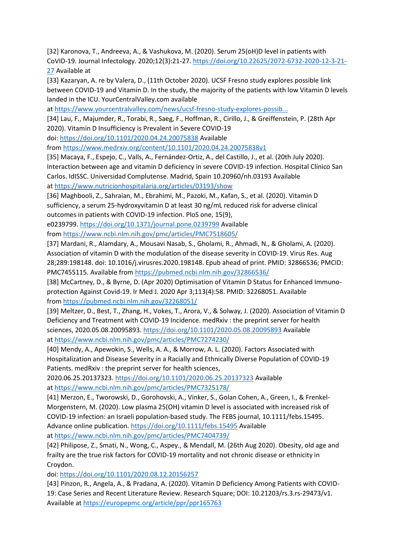[32] Karonova, T., Andreeva, А., & Vashukova, М. (2020). Serum 25(oH)D level in patients with CoVID-19. Journal Infectology. 2020;12(3):21-27. [https://doi.org/10.22625/2072-6732-2020-12-3-21-](https://doi.org/10.22625/2072-6732-2020-12-3-21-27) [27](https://doi.org/10.22625/2072-6732-2020-12-3-21-27) Available at

[33] Kazaryan, A. re by Valera, D., (11th October 2020). UCSF Fresno study explores possible link between COVID-19 and Vitamin D. In the study, the majority of the patients with low Vitamin D levels landed in the ICU. YourCentralValley.com available

at [https://www.yourcentralvalley.com/news/ucsf-fresno-study-explores-possib...](https://www.yourcentralvalley.com/news/ucsf-fresno-study-explores-possible-link-between-covid-19-and-vitamin-d/)

[34] Lau, F., Majumder, R., Torabi, R., Saeg, F., Hoffman, R., Cirillo, J., & Greiffenstein, P. (28th Apr 2020). Vitamin D Insufficiency is Prevalent in Severe COVID-19

doi: <https://doi.org/10.1101/2020.04.24.20075838> Available

from <https://www.medrxiv.org/content/10.1101/2020.04.24.20075838v1>

[35] Macaya, F., Espejo, C., Valls, A., Fernández-Ortiz, A., del Castillo, J., et al. (20th July 2020).

Interaction between age and vitamin D deficiency in severe COVID-19 infection. Hospital Clínico San Carlos. IdISSC. Universidad Complutense. Madrid, Spain 10.20960/nh.03193 Available at <https://www.nutricionhospitalaria.org/articles/03193/show>

[36] Maghbooli, Z., Sahraian, M., Ebrahimi, M., Pazoki, M., Kafan, S., et al. (2020). Vitamin D sufficiency, a serum 25-hydroxyvitamin D at least 30 ng/mL reduced risk for adverse clinical outcomes in patients with COVID-19 infection. PloS one, 15(9),

e0239799. <https://doi.org/10.1371/journal.pone.0239799> Available

from <https://www.ncbi.nlm.nih.gov/pmc/articles/PMC7518605/>

[37] Mardani, R., Alamdary, A., Mousavi Nasab, S., Gholami, R., Ahmadi, N., & Gholami, A. (2020). Association of vitamin D with the modulation of the disease severity in COVID-19. Virus Res. Aug 28;289:198148. doi: 10.1016/j.virusres.2020.198148. Epub ahead of print. PMID: 32866536; PMCID: PMC7455115. Available from <https://pubmed.ncbi.nlm.nih.gov/32866536/>

[38] McCartney, D., & Byrne, D. (Apr 2020) Optimisation of Vitamin D Status for Enhanced Immunoprotection Against Covid-19. Ir Med J. 2020 Apr 3;113(4):58. PMID: 32268051. Available from <https://pubmed.ncbi.nlm.nih.gov/32268051/>

[39] Meltzer, D., Best, T., Zhang, H., Vokes, T., Arora, V., & Solway, J. (2020). Association of Vitamin D Deficiency and Treatment with COVID-19 Incidence. medRxiv : the preprint server for health sciences, 2020.05.08.20095893. <https://doi.org/10.1101/2020.05.08.20095893> Available at <https://www.ncbi.nlm.nih.gov/pmc/articles/PMC7274230/>

[40] Mendy, A., Apewokin, S., Wells, A. A., & Morrow, A. L. (2020). Factors Associated with Hospitalization and Disease Severity in a Racially and Ethnically Diverse Population of COVID-19 Patients. medRxiv : the preprint server for health sciences,

2020.06.25.20137323. <https://doi.org/10.1101/2020.06.25.20137323> Available at <https://www.ncbi.nlm.nih.gov/pmc/articles/PMC7325178/>

[41] Merzon, E., Tworowski, D., Gorohovski, A., Vinker, S., Golan Cohen, A., Green, I., & Frenkel-Morgenstern, M. (2020). Low plasma 25(OH) vitamin D level is associated with increased risk of COVID-19 infection: an Israeli population-based study. The FEBS journal, 10.1111/febs.15495. Advance online publication. <https://doi.org/10.1111/febs.15495> Available

at <https://www.ncbi.nlm.nih.gov/pmc/articles/PMC7404739/>

[42] Philipose, Z., Smati, N., Wong, C., Aspey., & Mendall, M. (26th Aug 2020). Obesity, old age and frailty are the true risk factors for COVID-19 mortality and not chronic disease or ethnicity in Croydon.

doi: <https://doi.org/10.1101/2020.08.12.20156257>

[43] Pinzon, R., Angela, A., & Pradana, A. (2020). Vitamin D Deficiency Among Patients with COVID-19: Case Series and Recent Literature Review. Research Square; DOI: 10.21203/rs.3.rs-29473/v1. Available at <https://europepmc.org/article/ppr/ppr165763>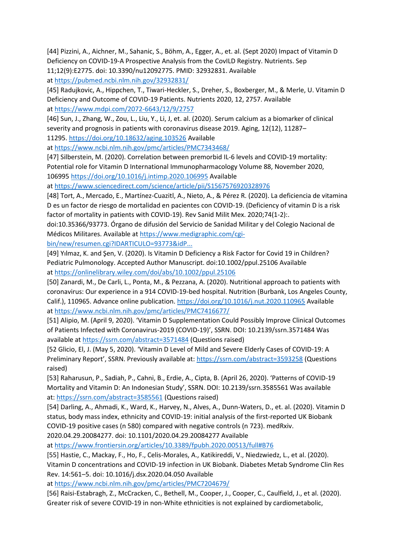[44] Pizzini, A., Aichner, M., Sahanic, S., Böhm, A., Egger, A., et. al. (Sept 2020) Impact of Vitamin D Deficiency on COVID-19-A Prospective Analysis from the CovILD Registry. Nutrients. Sep 11;12(9):E2775. doi: 10.3390/nu12092775. PMID: 32932831. Available at <https://pubmed.ncbi.nlm.nih.gov/32932831/>

[45] Radujkovic, A., Hippchen, T., Tiwari-Heckler, S., Dreher, S., Boxberger, M., & Merle, U. Vitamin D Deficiency and Outcome of COVID-19 Patients. Nutrients 2020, 12, 2757. Available at <https://www.mdpi.com/2072-6643/12/9/2757>

[46] Sun, J., Zhang, W., Zou, L., Liu, Y., Li, J, et. al. (2020). Serum calcium as a biomarker of clinical severity and prognosis in patients with coronavirus disease 2019. Aging, 12(12), 11287– 11295. <https://doi.org/10.18632/aging.103526> Available

at <https://www.ncbi.nlm.nih.gov/pmc/articles/PMC7343468/>

[47] Silberstein, M. (2020). Correlation between premorbid IL-6 levels and COVID-19 mortality: Potential role for Vitamin D International Immunopharmacology Volume 88, November 2020, 106995 <https://doi.org/10.1016/j.intimp.2020.106995> Available

at <https://www.sciencedirect.com/science/article/pii/S1567576920328976>

[48] Tort, A., Mercado, E., Martínez-Cuazitl, A., Nieto, A., & Pérez R. (2020). La deficiencia de vitamina D es un factor de riesgo de mortalidad en pacientes con COVID-19. (Deficiency of vitamin D is a risk factor of mortality in patients with COVID-19). Rev Sanid Milit Mex. 2020;74(1-2):.

doi:10.35366/93773. Órgano de difusión del Servicio de Sanidad Militar y del Colegio Nacional de Médicos Militares. Available at [https://www.medigraphic.com/cgi-](https://www.medigraphic.com/cgi-bin/new/resumen.cgi?IDARTICULO=93773&idP=8899)

[bin/new/resumen.cgi?IDARTICULO=93773&idP...](https://www.medigraphic.com/cgi-bin/new/resumen.cgi?IDARTICULO=93773&idP=8899)

[49] Yılmaz, K. and Şen, V. (2020). Is Vitamin D Deficiency a Risk Factor for Covid 19 in Children? Pediatric Pulmonology. Accepted Author Manuscript. doi:10.1002/ppul.25106 Available at <https://onlinelibrary.wiley.com/doi/abs/10.1002/ppul.25106>

[50] Zanardi, M., De Carli, L., Ponta, M., & Pezzana, A. (2020). Nutritional approach to patients with coronavirus: Our experience in a 914 COVID-19-bed hospital. Nutrition (Burbank, Los Angeles County, Calif.), 110965. Advance online publication. <https://doi.org/10.1016/j.nut.2020.110965> Available at <https://www.ncbi.nlm.nih.gov/pmc/articles/PMC7416677/>

[51] Alipio, M. (April 9, 2020). 'Vitamin D Supplementation Could Possibly Improve Clinical Outcomes of Patients Infected with Coronavirus-2019 (COVID-19)', SSRN. DOI: 10.2139/ssrn.3571484 Was available at <https://ssrn.com/abstract=3571484> (Questions raised)

[52 Glicio, El, J. (May 5, 2020). 'Vitamin D Level of Mild and Severe Elderly Cases of COVID-19: A Preliminary Report', SSRN. Previously available at: <https://ssrn.com/abstract=3593258> (Questions raised)

[53] Raharusun, P., Sadiah, P., Cahni, B., Erdie, A., Cipta, B. (April 26, 2020). 'Patterns of COVID-19 Mortality and Vitamin D: An Indonesian Study', SSRN. DOI: 10.2139/ssrn.3585561 Was available at: <https://ssrn.com/abstract=3585561> (Questions raised)

[54] Darling, A., Ahmadi, K., Ward, K., Harvey, N., Alves, A., Dunn-Waters, D., et. al. (2020). Vitamin D status, body mass index, ethnicity and COVID-19: initial analysis of the first-reported UK Biobank COVID-19 positive cases (n 580) compared with negative controls (n 723). medRxiv.

2020.04.29.20084277. doi: 10.1101/2020.04.29.20084277 Available

at <https://www.frontiersin.org/articles/10.3389/fpubh.2020.00513/full#B76>

[55] Hastie, C., Mackay, F., Ho, F., Celis-Morales, A., Katikireddi, V., Niedzwiedz, L., et al. (2020). Vitamin D concentrations and COVID-19 infection in UK Biobank. Diabetes Metab Syndrome Clin Res Rev. 14:561–5. doi: 10.1016/j.dsx.2020.04.050 Available

at <https://www.ncbi.nlm.nih.gov/pmc/articles/PMC7204679/>

[56] Raisi-Estabragh, Z., McCracken, C., Bethell, M., Cooper, J., Cooper, C., Caulfield, J., et al. (2020). Greater risk of severe COVID-19 in non-White ethnicities is not explained by cardiometabolic,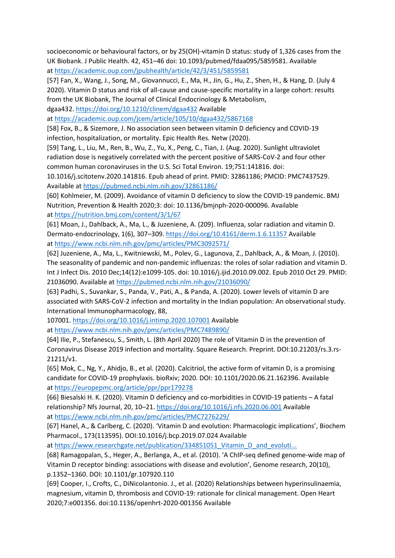socioeconomic or behavioural factors, or by 25(OH)-vitamin D status: study of 1,326 cases from the UK Biobank. J Public Health. 42, 451–46 doi: 10.1093/pubmed/fdaa095/5859581. Available at <https://academic.oup.com/jpubhealth/article/42/3/451/5859581>

[57] Fan, X., Wang, J., Song, M., Giovannucci, E., Ma, H., Jin, G., Hu, Z., Shen, H., & Hang, D. (July 4 2020). Vitamin D status and risk of all-cause and cause-specific mortality in a large cohort: results from the UK Biobank, The Journal of Clinical Endocrinology & Metabolism,

dgaa432. <https://doi.org/10.1210/clinem/dgaa432> Available

at <https://academic.oup.com/jcem/article/105/10/dgaa432/5867168>

[58] Fox, B., & Sizemore, J. No association seen between vitamin D deficiency and COVID-19 infection, hospitalization, or mortality. Epic Health Res. Netw (2020).

[59] Tang, L., Liu, M., Ren, B., Wu, Z., Yu, X., Peng, C., Tian, J. (Aug. 2020). Sunlight ultraviolet radiation dose is negatively correlated with the percent positive of SARS-CoV-2 and four other common human coronaviruses in the U.S. Sci Total Environ. 19;751:141816. doi:

10.1016/j.scitotenv.2020.141816. Epub ahead of print. PMID: 32861186; PMCID: PMC7437529. Available at <https://pubmed.ncbi.nlm.nih.gov/32861186/>

[60] Kohlmeier, M. (2009). Avoidance of vitamin D deficiency to slow the COVID-19 pandemic. BMJ Nutrition, Prevention & Health 2020;3: doi: 10.1136/bmjnph-2020-000096. Available at <https://nutrition.bmj.com/content/3/1/67>

[61] Moan, J., Dahlback, A., Ma, L., & Juzeniene, A. (209). Influenza, solar radiation and vitamin D. Dermato-endocrinology, 1(6), 307–309. <https://doi.org/10.4161/derm.1.6.11357> Available at <https://www.ncbi.nlm.nih.gov/pmc/articles/PMC3092571/>

[62] Juzeniene, A., Ma, L., Kwitniewski, M., Polev, G., Lagunova, Z., Dahlback, A., & Moan, J. (2010). The seasonality of pandemic and non-pandemic influenzas: the roles of solar radiation and vitamin D. Int J Infect Dis. 2010 Dec;14(12):e1099-105. doi: 10.1016/j.ijid.2010.09.002. Epub 2010 Oct 29. PMID: 21036090. Available at <https://pubmed.ncbi.nlm.nih.gov/21036090/>

[63] Padhi, S., Suvankar, S., Panda, V., Pati, A., & Panda, A. (2020). Lower levels of vitamin D are associated with SARS-CoV-2 infection and mortality in the Indian population: An observational study. International Immunopharmacology, 88,

107001. <https://doi.org/10.1016/j.intimp.2020.107001> Available at <https://www.ncbi.nlm.nih.gov/pmc/articles/PMC7489890/>

[64] Ilie, P., Stefanescu, S., Smith, L. (8th April 2020) The role of Vitamin D in the prevention of Coronavirus Disease 2019 infection and mortality. Square Research. Preprint. DOI:10.21203/rs.3.rs-21211/v1.

[65] Mok, C., Ng, Y., Ahidjo, B., et al. (2020). Calcitriol, the active form of vitamin D, is a promising candidate for COVID-19 prophylaxis. bioRxiv; 2020. DOI: 10.1101/2020.06.21.162396. Available at <https://europepmc.org/article/ppr/ppr179278>

[66] Biesalski H. K. (2020). Vitamin D deficiency and co-morbidities in COVID-19 patients – A fatal relationship? Nfs Journal, 20, 10–21. <https://doi.org/10.1016/j.nfs.2020.06.001> Available at <https://www.ncbi.nlm.nih.gov/pmc/articles/PMC7276229/>

[67] Hanel, A., & Carlberg, C. (2020). 'Vitamin D and evolution: Pharmacologic implications', Biochem Pharmacol., 173(113595). DOI:10.1016/j.bcp.2019.07.024 Available

at https://www.researchgate.net/publication/334851051 Vitamin\_D\_and\_evoluti...

[68] Ramagopalan, S., Heger, A., Berlanga, A., et al. (2010). 'A ChIP-seq defined genome-wide map of Vitamin D receptor binding: associations with disease and evolution', Genome research, 20(10), p.1352–1360. DOI: 10.1101/gr.107920.110

[69] Cooper, I., Crofts, C., DiNicolantonio. J., et al. (2020) Relationships between hyperinsulinaemia, magnesium, vitamin D, thrombosis and COVID-19: rationale for clinical management. Open Heart 2020;7:e001356. doi:10.1136/openhrt-2020-001356 Available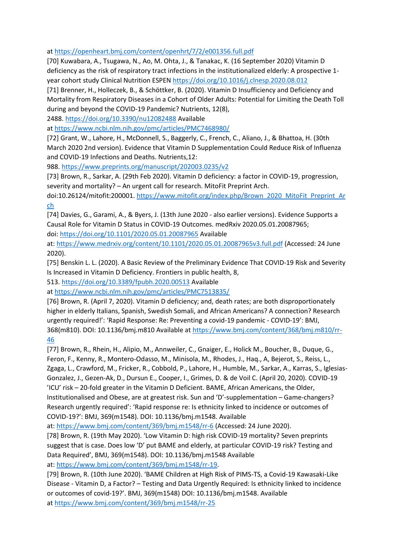at <https://openheart.bmj.com/content/openhrt/7/2/e001356.full.pdf>

[70] Kuwabara, A., Tsugawa, N., Ao, M. Ohta, J., & Tanakac, K. (16 September 2020) Vitamin D deficiency as the risk of respiratory tract infections in the institutionalized elderly: A prospective 1 year cohort study Clinical Nutrition ESPEN <https://doi.org/10.1016/j.clnesp.2020.08.012>

[71] Brenner, H., Holleczek, B., & Schöttker, B. (2020). Vitamin D Insufficiency and Deficiency and Mortality from Respiratory Diseases in a Cohort of Older Adults: Potential for Limiting the Death Toll during and beyond the COVID-19 Pandemic? Nutrients, 12(8),

2488. <https://doi.org/10.3390/nu12082488> Available

at <https://www.ncbi.nlm.nih.gov/pmc/articles/PMC7468980/>

[72] Grant, W., Lahore, H., McDonnell, S., Baggerly, C., French, C., Aliano, J., & Bhattoa, H. (30th March 2020 2nd version). Evidence that Vitamin D Supplementation Could Reduce Risk of Influenza and COVID-19 Infections and Deaths. Nutrients,12:

988. <https://www.preprints.org/manuscript/202003.0235/v2>

[73] Brown, R., Sarkar, A. (29th Feb 2020). Vitamin D deficiency: a factor in COVID-19, progression, severity and mortality? – An urgent call for research. MitoFit Preprint Arch.

doi:10.26124/mitofit:200001. [https://www.mitofit.org/index.php/Brown\\_2020\\_MitoFit\\_Preprint\\_Ar](https://www.mitofit.org/index.php/Brown_2020_MitoFit_Preprint_Arch) [ch](https://www.mitofit.org/index.php/Brown_2020_MitoFit_Preprint_Arch)

[74] Davies, G., Garami, A., & Byers, J. (13th June 2020 - also earlier versions). Evidence Supports a Causal Role for Vitamin D Status in COVID-19 Outcomes. medRxiv 2020.05.01.20087965;

doi: <https://doi.org/10.1101/2020.05.01.20087965> Available

at: <https://www.medrxiv.org/content/10.1101/2020.05.01.20087965v3.full.pdf> (Accessed: 24 June 2020).

[75] Benskin L. L. (2020). A Basic Review of the Preliminary Evidence That COVID-19 Risk and Severity Is Increased in Vitamin D Deficiency. Frontiers in public health, 8,

513. <https://doi.org/10.3389/fpubh.2020.00513> Available

at <https://www.ncbi.nlm.nih.gov/pmc/articles/PMC7513835/>

[76] Brown, R. (April 7, 2020). Vitamin D deficiency; and, death rates; are both disproportionately higher in elderly Italians, Spanish, Swedish Somali, and African Americans? A connection? Research urgently required!': 'Rapid Response: Re: Preventing a covid-19 pandemic - COVID-19': BMJ, 368(m810). DOI: 10.1136/bmj.m810 Available at [https://www.bmj.com/content/368/bmj.m810/rr-](https://www.bmj.com/content/368/bmj.m810/rr-46)[46](https://www.bmj.com/content/368/bmj.m810/rr-46)

[77] Brown, R., Rhein, H., Alipio, M., Annweiler, C., Gnaiger, E., Holick M., Boucher, B., Duque, G., Feron, F., Kenny, R., Montero-Odasso, M., Minisola, M., Rhodes, J., Haq., A, Bejerot, S., Reiss, L., Zgaga, L., Crawford, M., Fricker, R., Cobbold, P., Lahore, H., Humble, M., Sarkar, A., Karras, S., Iglesias-Gonzalez, J., Gezen-Ak, D., Dursun E., Cooper, I., Grimes, D. & de Voil C. (April 20, 2020). COVID-19 'ICU' risk – 20-fold greater in the Vitamin D Deficient. BAME, African Americans, the Older, Institutionalised and Obese, are at greatest risk. Sun and 'D'-supplementation – Game-changers? Research urgently required': 'Rapid response re: Is ethnicity linked to incidence or outcomes of COVID-19?': BMJ, 369(m1548). DOI: 10.1136/bmj.m1548. Available

at: <https://www.bmj.com/content/369/bmj.m1548/rr-6> (Accessed: 24 June 2020).

[78] Brown, R. (19th May 2020). 'Low Vitamin D: high risk COVID-19 mortality? Seven preprints suggest that is case. Does low 'D' put BAME and elderly, at particular COVID-19 risk? Testing and Data Required', BMJ, 369(m1548). DOI: 10.1136/bmj.m1548 Available

at: [https://www.bmj.com/content/369/bmj.m1548/rr-19.](https://www.bmj.com/content/369/bmj.m1548/rr-19)

[79] Brown, R. (10th June 2020). 'BAME Children at High Risk of PIMS-TS, a Covid-19 Kawasaki-Like Disease - Vitamin D, a Factor? – Testing and Data Urgently Required: Is ethnicity linked to incidence or outcomes of covid-19?'. BMJ, 369(m1548) DOI: 10.1136/bmj.m1548. Available at <https://www.bmj.com/content/369/bmj.m1548/rr-25>